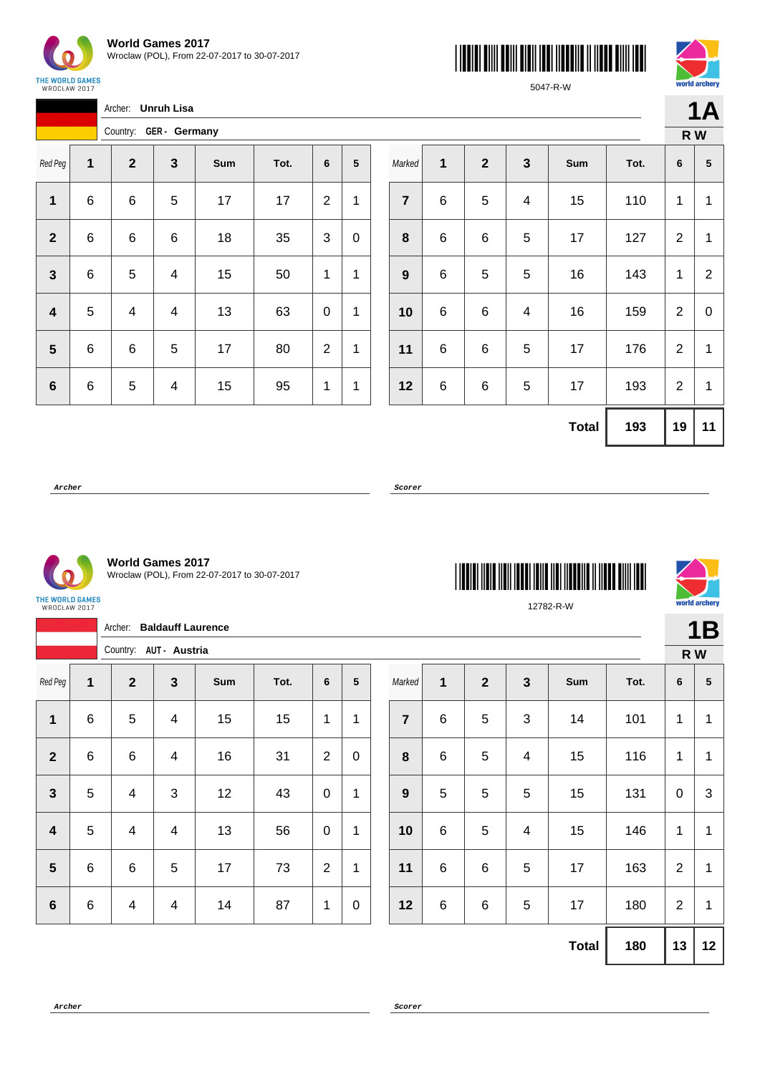





5047-R-W

|              |                        | Archer:<br>Unruh Lisa |          |    |      |                |                 |  |  |  |  |
|--------------|------------------------|-----------------------|----------|----|------|----------------|-----------------|--|--|--|--|
|              | Country: GER - Germany |                       |          |    |      |                |                 |  |  |  |  |
| Red Peg      | 1                      | $\mathbf{2}$          | 3<br>Sum |    | Tot. | 6              | $5\phantom{.0}$ |  |  |  |  |
| 1            | 6                      | 6                     | 5        | 17 | 17   | 2              | 1               |  |  |  |  |
| $\mathbf{2}$ | 6                      | 6                     | 6        | 18 | 35   | 3              | 0               |  |  |  |  |
| 3            | 6                      | 5                     | 4        | 15 | 50   | 1              | 1               |  |  |  |  |
| 4            | 5                      | 4                     | 4        | 13 | 63   | 0              | 1               |  |  |  |  |
| 5            | 6                      | 6                     | 5        | 17 | 80   | $\overline{2}$ | 1               |  |  |  |  |
| $\bf 6$      | 6                      | 5                     | 4        | 15 | 95   | 1              | 1               |  |  |  |  |

|                  |   |              |   |              |      |                  | R W            |
|------------------|---|--------------|---|--------------|------|------------------|----------------|
| Marked           | 1 | $\mathbf{2}$ | 3 | Sum          | Tot. | 6                | ${\bf 5}$      |
| $\overline{7}$   | 6 | $\mathbf 5$  | 4 | 15           | 110  | 1                | 1              |
| 8                | 6 | 6            | 5 | 17           | 127  | $\overline{2}$   | 1              |
| $\boldsymbol{9}$ | 6 | 5            | 5 | 16           | 143  | 1                | $\overline{2}$ |
| 10               | 6 | $\,6$        | 4 | 16           | 159  | $\overline{2}$   | 0              |
| 11               | 6 | 6            | 5 | 17           | 176  | $\boldsymbol{2}$ | 1              |
| 12               | 6 | 6            | 5 | 17           | 193  | $\overline{2}$   | 1              |
|                  |   |              |   | <b>Total</b> | 193  | 19               | 11             |

**Archer Scorer**

THE WORLD GAMES<br>WROCŁAW 2017

**World Games 2017** Wroclaw (POL), From 22-07-2017 to 30-07-2017

Red Peg **1 2 3 Sum Tot. 6 5**

**1** | 6 | 5 | 4 | 15 | 15 | 1 | 1

**2** | 6 | 6 | 4 | 16 | 31 | 2 | 0

**3** | 5 | 4 | 3 | 12 | 43 | 0 | 1

**4** | 5 | 4 | 4 | 13 | 56 | 0 | 1

**5** | 6 | 6 | 5 | 17 | 73 | 2 | 1

**6** | 6 | 4 | 4 | 14 | 87 | 1 | 0

Archer: **Baldauff Laurence**

Country: **AUT - Austria**





**1B**

|                  |       |              |              |     |      |   | R W             |
|------------------|-------|--------------|--------------|-----|------|---|-----------------|
| Marked           | 1     | $\mathbf{2}$ | $\mathbf{3}$ | Sum | Tot. | 6 | $5\phantom{.0}$ |
| $\overline{7}$   | 6     | 5            | $\mathbf{3}$ | 14  | 101  | 1 | 1               |
| 8                | $\,6$ | 5            | 4            | 15  | 116  | 1 | 1               |
| $\boldsymbol{9}$ | 5     | 5            | 5            | 15  | 131  | 0 | 3               |
| 10               | $\,6$ | 5            | 4            | 15  | 146  | 1 | 1               |
|                  |       |              |              |     |      |   |                 |

| 9  | 5 | 5 | 5 | 15 | 131 | 0 | 3 |
|----|---|---|---|----|-----|---|---|
| 10 | 6 | 5 |   | 15 | 146 |   | 1 |
| 11 | 6 | 6 | 5 | 17 | 163 | 2 | 1 |

**12** | 6 | 6 | 5 | 17 | 180 | 2 | 1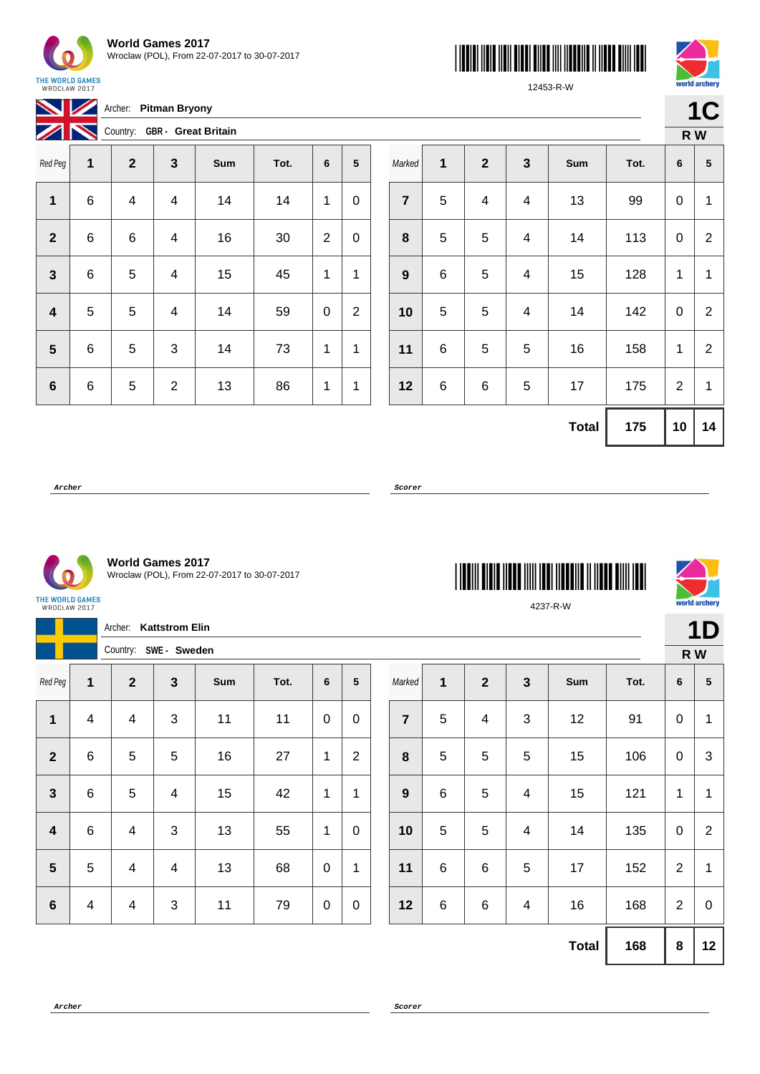

**Archer: Pitman Bryony** 

THE WORLD GAMES<br>WROCŁAW 2017





12453-R-W

| $\boldsymbol{Z}$ |   |              |                         | Country: GBR - Great Britain |      |                |                |
|------------------|---|--------------|-------------------------|------------------------------|------|----------------|----------------|
| Red Peg          | 1 | $\mathbf{2}$ | $\mathbf{3}$            | Sum                          | Tot. | 6              | 5              |
| 1                | 6 | 4            | $\overline{\mathbf{4}}$ | 14                           | 14   | 1              | 0              |
| $\mathbf{2}$     | 6 | 6            | 4                       | 16                           | 30   | $\overline{2}$ | 0              |
| 3                | 6 | 5            | 4                       | 15                           | 45   | 1              | 1              |
| 4                | 5 | 5            | 4                       | 14                           | 59   | 0              | $\overline{2}$ |
| 5                | 6 | 5            | 3                       | 14                           | 73   | 1              | 1              |
| $6\phantom{1}6$  | 6 | 5            | $\overline{2}$          | 13                           | 86   | 1              | 1              |

|                  |             |              |                         |              |      |                | R W            |
|------------------|-------------|--------------|-------------------------|--------------|------|----------------|----------------|
| Marked           | $\mathbf 1$ | $\mathbf{2}$ | $\mathbf{3}$            | Sum          | Tot. | 6              | 5              |
| $\overline{7}$   | 5           | 4            | $\overline{\mathbf{4}}$ | 13           | 99   | 0              | $\mathbf{1}$   |
| 8                | 5           | $\mathbf 5$  | 4                       | 14           | 113  | 0              | $\overline{2}$ |
| $\boldsymbol{9}$ | 6           | 5            | $\overline{\mathbf{4}}$ | 15           | 128  | 1              | 1              |
| 10               | 5           | 5            | $\overline{\mathbf{4}}$ | 14           | 142  | 0              | $\overline{2}$ |
| 11               | 6           | 5            | 5                       | 16           | 158  | 1              | $\overline{2}$ |
| 12               | 6           | 6            | 5                       | 17           | 175  | $\overline{2}$ | 1              |
|                  |             |              |                         | <b>Total</b> | 175  | 10             | 14             |

**Archer Scorer**



**World Games 2017** Wroclaw (POL), From 22-07-2017 to 30-07-2017

THE WORLD GAMES<br>WROCŁAW 2017

|                         |                         |                | Archer: Kattstrom Elin   |     |      |                |                 |                |                |                         |                |              |      |                | 1D               |
|-------------------------|-------------------------|----------------|--------------------------|-----|------|----------------|-----------------|----------------|----------------|-------------------------|----------------|--------------|------|----------------|------------------|
|                         |                         |                | Country: SWE - Sweden    |     |      |                |                 |                |                |                         |                |              |      |                | R W              |
| Red Peg                 | 1                       | $\overline{2}$ | $\mathbf{3}$             | Sum | Tot. | $6\phantom{1}$ | $5\phantom{.0}$ | Marked         | $\mathbf{1}$   | $\overline{2}$          | $\overline{3}$ | Sum          | Tot. | 6              | 5                |
| 1                       | $\overline{\mathbf{4}}$ | 4              | 3                        | 11  | 11   | $\pmb{0}$      | $\pmb{0}$       | $\overline{7}$ | $\overline{5}$ | $\overline{\mathbf{4}}$ | $\mathbf{3}$   | 12           | 91   | $\mathbf 0$    | 1                |
| $\overline{2}$          | $\,6$                   | 5              | 5                        | 16  | 27   | $\mathbf{1}$   | $\overline{2}$  | 8              | $\overline{5}$ | 5                       | 5              | 15           | 106  | $\mathbf 0$    | $\mathfrak{S}$   |
| $\mathbf{3}$            | $\,6\,$                 | 5              | $\overline{\mathcal{A}}$ | 15  | 42   | $\mathbf{1}$   | 1               | 9              | $\,6\,$        | 5                       | 4              | 15           | 121  | 1              | 1                |
| $\overline{\mathbf{4}}$ | $\,6\,$                 | 4              | 3                        | 13  | 55   | $\mathbf{1}$   | $\mathbf 0$     | 10             | $\overline{5}$ | 5                       | $\overline{4}$ | 14           | 135  | $\mathbf 0$    | $\overline{2}$   |
| $5\phantom{1}$          | 5                       | 4              | $\overline{4}$           | 13  | 68   | $\mathbf 0$    | $\mathbf{1}$    | 11             | $\,6\,$        | $\,6$                   | 5              | 17           | 152  | $\overline{2}$ | 1                |
| $6\phantom{1}6$         | 4                       | 4              | $\mathfrak{S}$           | 11  | 79   | $\pmb{0}$      | $\mathbf 0$     | 12             | $\,6$          | $\,6\,$                 | $\overline{4}$ | 16           | 168  | $\overline{2}$ | $\boldsymbol{0}$ |
|                         |                         |                |                          |     |      |                |                 |                |                |                         |                | <b>Total</b> | 168  | $\pmb{8}$      | 12               |

\*4237-R-W\* 4237-R-W

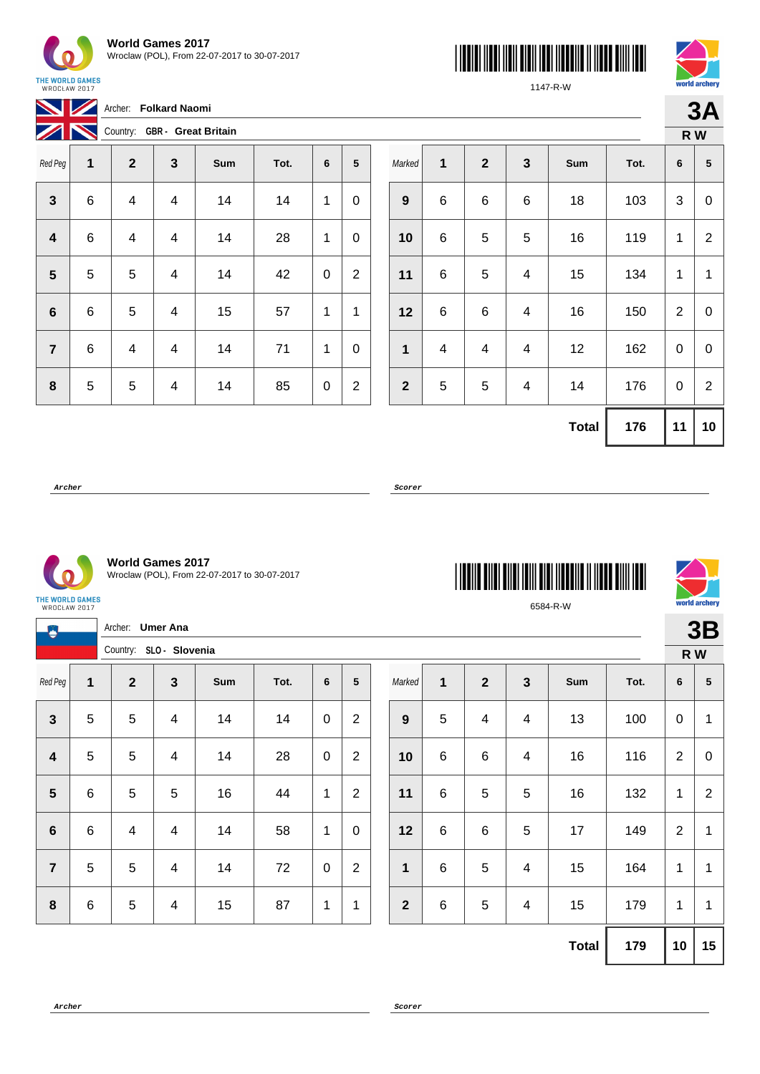

Archer: **Folkard Naomi** 

THE WORLD GAMES<br>WROCŁAW 2017





**3A**

1147-R-W

| $\mathbb{Z}$   |   |              |                         | Country: GBR - Great Britain |      |   |                |
|----------------|---|--------------|-------------------------|------------------------------|------|---|----------------|
| Red Peg        | 1 | $\mathbf{2}$ | $\mathbf{3}$            | Sum                          | Tot. | 6 | 5              |
| $\mathbf{3}$   | 6 | 4            | $\overline{\mathbf{4}}$ | 14                           | 14   | 1 | 0              |
| 4              | 6 | 4            | $\overline{4}$          | 14                           | 28   | 1 | 0              |
| 5              | 5 | 5            | 4                       | 14                           | 42   | 0 | $\overline{2}$ |
| 6              | 6 | 5            | 4                       | 15                           | 57   | 1 | 1              |
| $\overline{7}$ | 6 | 4            | 4                       | 14                           | 71   | 1 | 0              |
| 8              | 5 | 5            | 4                       | 14                           | 85   | 0 | $\overline{2}$ |

|              |   |              |                         |              |      |                | R W            |
|--------------|---|--------------|-------------------------|--------------|------|----------------|----------------|
| Marked       | 1 | $\mathbf{2}$ | $\mathbf{3}$            | Sum          | Tot. | 6              | 5              |
| 9            | 6 | 6            | $\,6$                   | 18           | 103  | 3              | 0              |
| 10           | 6 | 5            | 5                       | 16           | 119  | 1              | $\overline{2}$ |
| 11           | 6 | 5            | 4                       | 15           | 134  | 1              | 1              |
| 12           | 6 | 6            | $\overline{\mathbf{4}}$ | 16           | 150  | $\overline{2}$ | 0              |
| 1            | 4 | 4            | 4                       | 12           | 162  | 0              | 0              |
| $\mathbf{2}$ | 5 | 5            | $\overline{\mathbf{4}}$ | 14           | 176  | 0              | $\overline{2}$ |
|              |   |              |                         | <b>Total</b> | 176  | 11             | 10             |

**Archer Scorer**



**World Games 2017** Wroclaw (POL), From 22-07-2017 to 30-07-2017

THE WORLD GAMES<br>WROCŁAW 2017

|                         |                |                         | Archer: Umer Ana        |     |      |              |                |  |              |         |                         |                |              |      |                | 3B             |
|-------------------------|----------------|-------------------------|-------------------------|-----|------|--------------|----------------|--|--------------|---------|-------------------------|----------------|--------------|------|----------------|----------------|
|                         |                | Country: SLO - Slovenia |                         |     |      |              |                |  |              |         |                         |                |              |      | R W            |                |
| Red Peg                 | 1              | $\overline{\mathbf{2}}$ | $\mathbf{3}$            | Sum | Tot. | $\bf 6$      | 5              |  | Marked       | 1       | $\overline{2}$          | $\mathbf{3}$   | Sum          | Tot. | 6              | $\sqrt{5}$     |
| $\mathbf{3}$            | 5              | 5                       | 4                       | 14  | 14   | $\pmb{0}$    | $\overline{2}$ |  | 9            | 5       | $\overline{\mathbf{4}}$ | $\overline{4}$ | 13           | 100  | $\mathbf 0$    | 1              |
| $\overline{\mathbf{4}}$ | $\overline{5}$ | 5                       | $\overline{\mathbf{4}}$ | 14  | 28   | $\pmb{0}$    | $\overline{2}$ |  | 10           | $\,6\,$ | $\,6$                   | $\overline{4}$ | 16           | 116  | $\overline{2}$ | $\mathbf 0$    |
| $5\phantom{.0}$         | $\,6$          | $\overline{5}$          | 5                       | 16  | 44   | $\mathbf 1$  | $\overline{2}$ |  | 11           | $\,6\,$ | 5                       | $\overline{5}$ | 16           | 132  | $\mathbf{1}$   | $\overline{2}$ |
| $6\phantom{1}$          | $\,6$          | 4                       | 4                       | 14  | 58   | 1            | $\pmb{0}$      |  | 12           | $\,6\,$ | 6                       | $\overline{5}$ | 17           | 149  | $\overline{2}$ | 1              |
| $\overline{7}$          | $\overline{5}$ | 5                       | 4                       | 14  | 72   | $\pmb{0}$    | $\overline{2}$ |  | $\mathbf 1$  | $\,6$   | 5                       | $\overline{4}$ | 15           | 164  | 1              | 1              |
| $\boldsymbol{8}$        | $\,6$          | $\sqrt{5}$              | 4                       | 15  | 87   | $\mathbf{1}$ | 1              |  | $\mathbf{2}$ | $\,6\,$ | $\sqrt{5}$              | $\overline{4}$ | 15           | 179  | 1              | $\mathbf 1$    |
|                         |                |                         |                         |     |      |              |                |  |              |         |                         |                | <b>Total</b> | 179  | 10             | 15             |



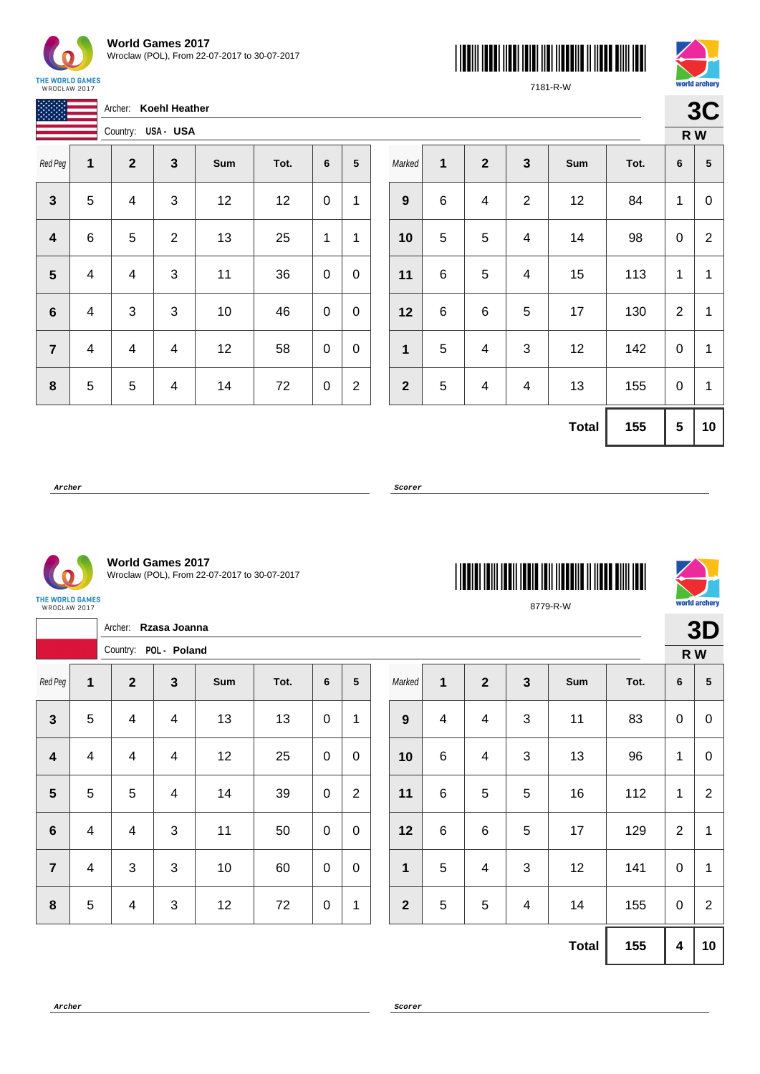

| <b>World Games 2017</b>                      |
|----------------------------------------------|
| Wroclaw (POL), From 22-07-2017 to 30-07-2017 |





7181-R-W

| WRULLAW CUL/            |   |                    |                         |      |      |                  |                  |              |   |  |
|-------------------------|---|--------------------|-------------------------|------|------|------------------|------------------|--------------|---|--|
|                         |   | Archer:            | <b>Koehl Heather</b>    |      |      |                  |                  |              |   |  |
|                         |   | Country: USA - USA |                         |      |      |                  |                  |              |   |  |
| Red Peg                 | 1 | $\mathbf{2}$       | $\mathbf{3}$            | Sum  | Tot. | 6                | 5                | Marked       | 1 |  |
| $\mathbf{3}$            | 5 | 4                  | $\mathbf{3}$            | 12   | 12   | 0                | 1                | 9            | 6 |  |
| $\overline{\mathbf{4}}$ | 6 | 5                  | $\overline{2}$          | 13   | 25   | 1                | 1                | 10           | 5 |  |
| $5\phantom{1}$          | 4 | 4                  | $\mathbf{3}$            | 11   | 36   | 0                | 0                | 11           | 6 |  |
| $\bf 6$                 | 4 | 3                  | $\mathbf{3}$            | $10$ | 46   | $\boldsymbol{0}$ | $\mathbf 0$      | 12           | 6 |  |
| $\overline{7}$          | 4 | 4                  | $\overline{4}$          | 12   | 58   | 0                | $\boldsymbol{0}$ | $\mathbf{1}$ | 5 |  |
| ${\bf 8}$               | 5 | 5                  | $\overline{\mathbf{4}}$ | 14   | 72   | 0                | $\mathbf{2}$     | $\mathbf{2}$ | 5 |  |

|                  |   |                         |              |              |      |   | R W            |
|------------------|---|-------------------------|--------------|--------------|------|---|----------------|
| Marked           | 1 | $\overline{2}$          | $\mathbf{3}$ | Sum          | Tot. | 6 | 5              |
| $\boldsymbol{9}$ | 6 | $\overline{\mathbf{4}}$ | $\sqrt{2}$   | 12           | 84   | 1 | 0              |
| 10               | 5 | 5                       | 4            | 14           | 98   | 0 | $\overline{2}$ |
| 11               | 6 | 5                       | 4            | 15           | 113  | 1 | 1              |
| 12               | 6 | 6                       | 5            | 17           | 130  | 2 | 1              |
| $\mathbf{1}$     | 5 | $\overline{\mathbf{4}}$ | 3            | 12           | 142  | 0 | 1              |
| $\mathbf{2}$     | 5 | $\overline{\mathbf{4}}$ | 4            | 13           | 155  | 0 | 1              |
|                  |   |                         |              | <b>Total</b> | 155  | 5 | 10             |

**Archer Scorer**



**World Games 2017** Wroclaw (POL), From 22-07-2017 to 30-07-2017

 $\overline{\phantom{0}}$ 

 $\overline{\phantom{a}}$ 

| 'HE WORLD GAMES |  |
|-----------------|--|
| WROCŁAW 2017    |  |

|                         |                | Archer: Rzasa Joanna    |                         |     |      |             |                 |  |                |                |                          |                |              |      |                         | 3D             |
|-------------------------|----------------|-------------------------|-------------------------|-----|------|-------------|-----------------|--|----------------|----------------|--------------------------|----------------|--------------|------|-------------------------|----------------|
|                         |                | Country: POL - Poland   |                         |     |      |             |                 |  |                |                |                          |                |              |      |                         | R W            |
| Red Peg                 | 1              | $\mathbf{2}$            | $\mathbf{3}$            | Sum | Tot. | 6           | $5\phantom{.0}$ |  | Marked         | $\mathbf{1}$   | $\overline{2}$           | $\mathbf{3}$   | Sum          | Tot. | 6                       | ${\bf 5}$      |
| $\mathbf{3}$            | $\overline{5}$ | $\overline{4}$          | $\overline{4}$          | 13  | 13   | $\pmb{0}$   | 1               |  | 9              | $\overline{4}$ | $\overline{\mathcal{A}}$ | $\mathbf{3}$   | 11           | 83   | $\mathbf 0$             | $\overline{0}$ |
| $\overline{\mathbf{4}}$ | $\overline{4}$ | $\overline{4}$          | $\overline{\mathbf{4}}$ | 12  | 25   | $\mathbf 0$ | $\pmb{0}$       |  | 10             | $\,6$          | $\overline{\mathcal{A}}$ | $\mathbf{3}$   | 13           | 96   | $\mathbf{1}$            | $\overline{0}$ |
| $5\phantom{1}$          | 5              | 5                       | $\overline{4}$          | 14  | 39   | $\mathbf 0$ | $\overline{2}$  |  | 11             | $\,6$          | 5                        | 5              | 16           | 112  | $\mathbf{1}$            | $\overline{2}$ |
| $6\phantom{1}$          | $\overline{4}$ | $\overline{4}$          | 3                       | 11  | 50   | $\mathbf 0$ | $\mathbf 0$     |  | 12             | $\,6$          | $\,6\,$                  | 5              | 17           | 129  | $\overline{2}$          | 1              |
| $\overline{7}$          | $\overline{4}$ | 3                       | $\mathbf{3}$            | 10  | 60   | $\mathbf 0$ | $\mathbf 0$     |  | 1              | 5              | $\overline{4}$           | 3              | 12           | 141  | $\mathbf 0$             | 1              |
| $\boldsymbol{8}$        | $\overline{5}$ | $\overline{\mathbf{4}}$ | 3                       | 12  | 72   | $\mathbf 0$ | 1               |  | $\overline{2}$ | 5              | 5                        | $\overline{4}$ | 14           | 155  | $\mathbf 0$             | $\overline{2}$ |
|                         |                |                         |                         |     |      |             |                 |  |                |                |                          |                | <b>Total</b> | 155  | $\overline{\mathbf{4}}$ | 10             |

8779-R-W

\*8779-R-W\*

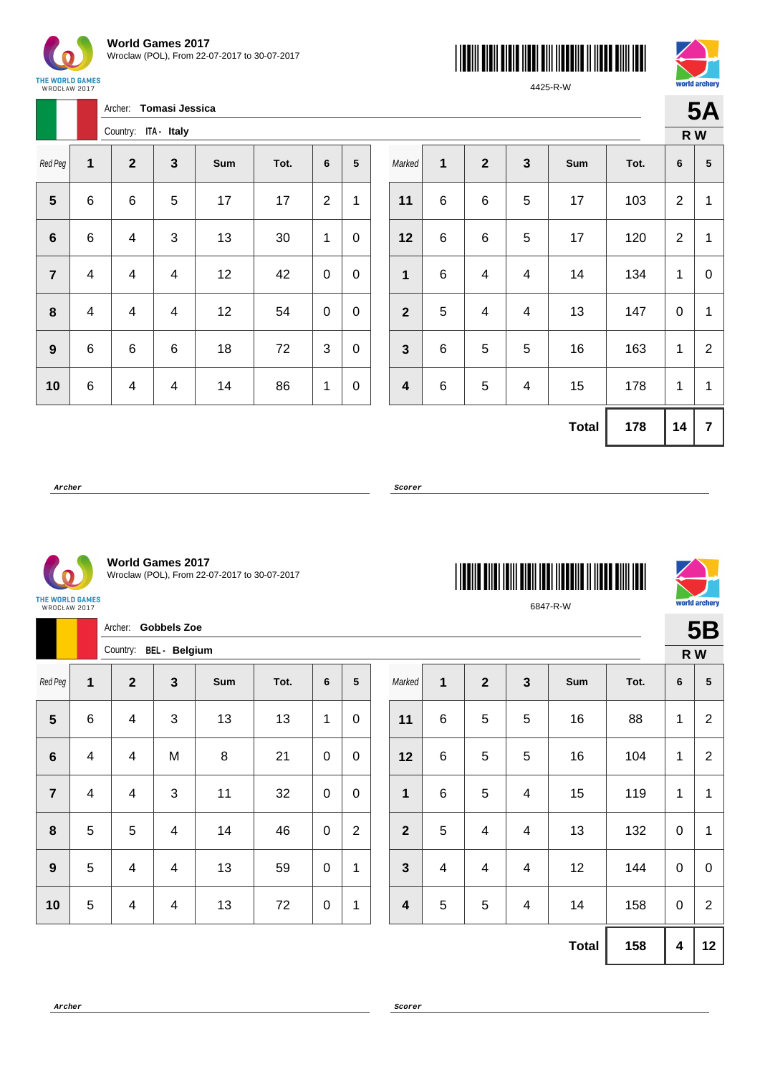

Archer: **Tomasi Jessica**





4425-R-W

| Ąς  |
|-----|
| R W |

vorld archerv

|                |                         | Country: ITA - Italy |              |     |      |                |   |
|----------------|-------------------------|----------------------|--------------|-----|------|----------------|---|
| Red Peg        | 1                       | $\mathbf{2}$         | $\mathbf{3}$ | Sum | Tot. | 6              | 5 |
| 5              | 6                       | 6                    | 5            | 17  | 17   | $\overline{2}$ | 1 |
| 6              | 6                       | 4                    | 3            | 13  | 30   | 1              | 0 |
| $\overline{7}$ | 4                       | 4                    | 4            | 12  | 42   | 0              | 0 |
| 8              | $\overline{\mathbf{4}}$ | 4                    | 4            | 12  | 54   | 0              | 0 |
| 9              | 6                       | 6                    | 6            | 18  | 72   | 3              | 0 |
| 10             | 6                       | 4                    | 4            | 14  | 86   | 1              | 0 |

|                         |             |              |                         |              |      | R W            |                         |
|-------------------------|-------------|--------------|-------------------------|--------------|------|----------------|-------------------------|
| Marked                  | $\mathbf 1$ | $\mathbf{2}$ | $\mathbf 3$             | Sum          | Tot. | 6              | $5\phantom{.0}$         |
| 11                      | 6           | 6            | 5                       | 17           | 103  | $\overline{2}$ | 1                       |
| 12                      | 6           | 6            | $\mathbf 5$             | 17           | 120  | $\overline{2}$ | 1                       |
| 1                       | 6           | 4            | 4                       | 14           | 134  | 1              | 0                       |
| $\overline{2}$          | 5           | 4            | $\overline{\mathbf{4}}$ | 13           | 147  | 0              | 1                       |
| $\mathbf{3}$            | 6           | 5            | 5                       | 16           | 163  | 1              | $\overline{2}$          |
| $\overline{\mathbf{4}}$ | 6           | 5            | $\overline{\mathbf{4}}$ | 15           | 178  | 1              | 1                       |
|                         |             |              |                         | <b>Total</b> | 178  | 14             | $\overline{\mathbf{7}}$ |

\*6847-R-W\*

6847-R-W

**Archer Scorer**



**World Games 2017** Wroclaw (POL), From 22-07-2017 to 30-07-2017

THE WORLD GAMES<br>WROCŁAW 2017

|                | Archer: Gobbels Zoe      |                |                         |         |      |             |                |  |                         |                 |              |                |              |      |                         | <b>5B</b>        |  |
|----------------|--------------------------|----------------|-------------------------|---------|------|-------------|----------------|--|-------------------------|-----------------|--------------|----------------|--------------|------|-------------------------|------------------|--|
|                | Country: BEL - Belgium   |                |                         |         |      |             |                |  |                         |                 |              |                |              |      | R W                     |                  |  |
| Red Peg        | $\mathbf{1}$             | $\mathbf{2}$   | $\mathbf{3}$            | Sum     | Tot. | 6           | 5              |  | Marked                  | 1               | $\mathbf{2}$ | $\mathbf{3}$   | Sum          | Tot. | 6                       | 5                |  |
| $5\phantom{1}$ | 6                        | $\overline{4}$ | $\mathbf{3}$            | 13      | 13   | 1           | $\mathbf 0$    |  | 11                      | 6               | 5            | 5              | 16           | 88   | $\mathbf 1$             | $\overline{2}$   |  |
| $6\phantom{1}$ | $\overline{\mathcal{A}}$ | 4              | M                       | $\,8\,$ | 21   | $\mathbf 0$ | $\pmb{0}$      |  | 12                      | 6               | 5            | 5              | 16           | 104  | $\mathbf 1$             | $\overline{2}$   |  |
| $\overline{7}$ | $\overline{\mathcal{A}}$ | $\overline{4}$ | $\mathbf{3}$            | 11      | 32   | $\mathbf 0$ | $\pmb{0}$      |  | $\mathbf 1$             | $6\phantom{1}6$ | 5            | $\overline{4}$ | 15           | 119  | $\mathbf{1}$            | 1                |  |
| 8              | 5                        | $\overline{5}$ | $\overline{\mathbf{4}}$ | 14      | 46   | $\mathbf 0$ | $\overline{2}$ |  | $\overline{2}$          | 5               | 4            | 4              | 13           | 132  | $\mathbf 0$             | $\mathbf 1$      |  |
| 9              | 5                        | 4              | $\overline{\mathbf{4}}$ | 13      | 59   | $\mathbf 0$ | $\mathbf{1}$   |  | $\mathbf{3}$            | 4               | 4            | 4              | 12           | 144  | $\mathbf 0$             | $\boldsymbol{0}$ |  |
| 10             | 5                        | $\overline{4}$ | $\overline{\mathbf{4}}$ | 13      | 72   | $\mathbf 0$ | 1              |  | $\overline{\mathbf{4}}$ | 5               | 5            | 4              | 14           | 158  | $\boldsymbol{0}$        | $\overline{2}$   |  |
|                |                          |                |                         |         |      |             |                |  |                         |                 |              |                | <b>Total</b> | 158  | $\overline{\mathbf{4}}$ | 12               |  |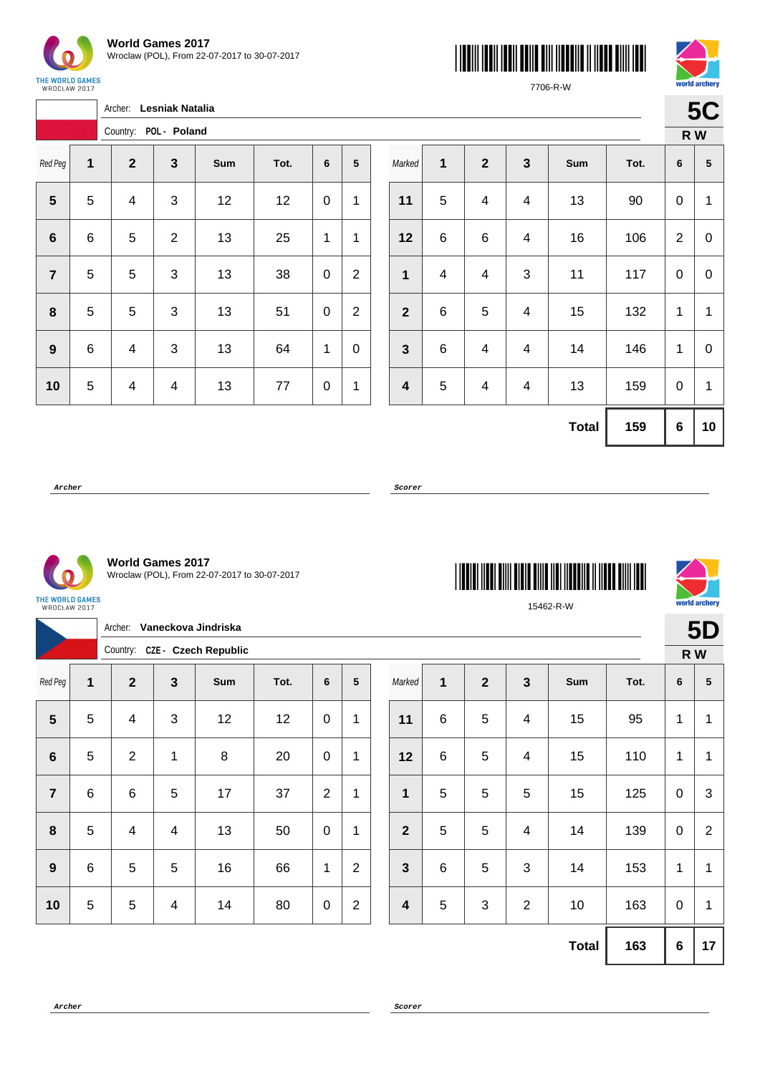

 $\sqrt{ }$ 





7706-R-W

|                | Archer:<br><b>Lesniak Natalia</b> |                       |                |     |      |   |                |  |  |  |  |  |  |
|----------------|-----------------------------------|-----------------------|----------------|-----|------|---|----------------|--|--|--|--|--|--|
|                |                                   | Country: POL - Poland |                |     |      |   |                |  |  |  |  |  |  |
| Red Peg        | 1                                 | $\mathbf{2}$          | 3              | Sum | Tot. | 6 | 5              |  |  |  |  |  |  |
| 5              | 5                                 | 4                     | 3              | 12  | 12   | 0 | 1              |  |  |  |  |  |  |
| $6\phantom{1}$ | 6                                 | 5                     | $\overline{2}$ | 13  | 25   | 1 | 1              |  |  |  |  |  |  |
| $\overline{7}$ | 5                                 | 5                     | 3              | 13  | 38   | 0 | $\overline{2}$ |  |  |  |  |  |  |
| 8              | 5                                 | 5                     | 3              | 13  | 51   | 0 | $\overline{2}$ |  |  |  |  |  |  |
| 9              | 6                                 | 4                     | 3              | 13  | 64   | 1 | 0              |  |  |  |  |  |  |
| 10             | 5                                 | 4                     | 4              | 13  | 77   | 0 | 1              |  |  |  |  |  |  |

|                         |              |                         |                         |              |      | R W            |             |
|-------------------------|--------------|-------------------------|-------------------------|--------------|------|----------------|-------------|
| Marked                  | $\mathbf{1}$ | $\boldsymbol{2}$        | $\mathbf{3}$            | Sum          | Tot. | 6              | ${\bf 5}$   |
| 11                      | 5            | $\overline{\mathbf{4}}$ | $\overline{\mathbf{4}}$ | 13           | 90   | 0              | 1           |
| 12                      | $\,6$        | 6                       | $\overline{\mathbf{4}}$ | 16           | 106  | $\overline{2}$ | $\mathbf 0$ |
| $\mathbf{1}$            | 4            | 4                       | 3                       | 11           | 117  | 0              | 0           |
| $\overline{\mathbf{2}}$ | $\,6$        | 5                       | 4                       | 15           | 132  | 1              | 1           |
| $\mathbf{3}$            | $\,6$        | 4                       | 4                       | 14           | 146  | 1              | 0           |
| $\overline{\mathbf{4}}$ | 5            | 4                       | 4                       | 13           | 159  | 0              | 1           |
|                         |              |                         |                         | <b>Total</b> | 159  | 6              | 10          |



**World Games 2017** Wroclaw (POL), From 22-07-2017 to 30-07-2017

| <b>THE REAL PROPERTY OF STATE</b> |  |
|-----------------------------------|--|
| 15462-R-W                         |  |



|                |                | Archer:        |                         | Vaneckova Jindriska           |      |                 |                |                         |              |                |                |              |      |             | <b>5D</b>       |  |
|----------------|----------------|----------------|-------------------------|-------------------------------|------|-----------------|----------------|-------------------------|--------------|----------------|----------------|--------------|------|-------------|-----------------|--|
|                |                |                |                         | Country: CZE - Czech Republic |      |                 |                |                         |              |                |                |              |      | R W         |                 |  |
| Red Peg        | 1              | $\overline{2}$ | $\mathbf{3}$            | Sum                           | Tot. | $6\phantom{1}6$ | 5              | Marked                  | $\mathbf{1}$ | $\overline{2}$ | $\mathbf{3}$   | Sum          | Tot. | 6           | $5\phantom{.0}$ |  |
| $5\phantom{.}$ | 5              | 4              | 3                       | 12                            | 12   | $\pmb{0}$       | 1              | 11                      | $\,6$        | 5              | $\overline{4}$ | 15           | 95   | 1           | $\mathbf{1}$    |  |
| 6              | 5              | $\overline{2}$ | 1                       | 8                             | 20   | $\mathbf 0$     | 1              | 12                      | $\,6$        | 5              | 4              | 15           | 110  | 1           | $\mathbf{1}$    |  |
| $\overline{7}$ | $\,6$          | 6              | $\sqrt{5}$              | 17                            | 37   | $\overline{2}$  | $\mathbf{1}$   | $\mathbf{1}$            | 5            | 5              | 5              | 15           | 125  | $\mathbf 0$ | 3               |  |
| 8              | 5              | 4              | $\overline{4}$          | 13                            | 50   | $\mathbf 0$     | 1              | $\overline{2}$          | 5            | 5              | $\overline{4}$ | 14           | 139  | $\mathbf 0$ | 2               |  |
| 9              | $6\phantom{1}$ | 5              | $\overline{5}$          | 16                            | 66   | 1               | $\overline{2}$ | $\mathbf{3}$            | $\,6$        | 5              | 3              | 14           | 153  | $\mathbf 1$ | $\mathbf 1$     |  |
| 10             | 5              | 5              | $\overline{\mathbf{4}}$ | 14                            | 80   | $\pmb{0}$       | $\overline{2}$ | $\overline{\mathbf{4}}$ | 5            | 3              | $\overline{2}$ | 10           | 163  | $\mathbf 0$ | $\mathbf 1$     |  |
|                |                |                |                         |                               |      |                 |                |                         |              |                |                | <b>Total</b> | 163  | $\bf 6$     | 17              |  |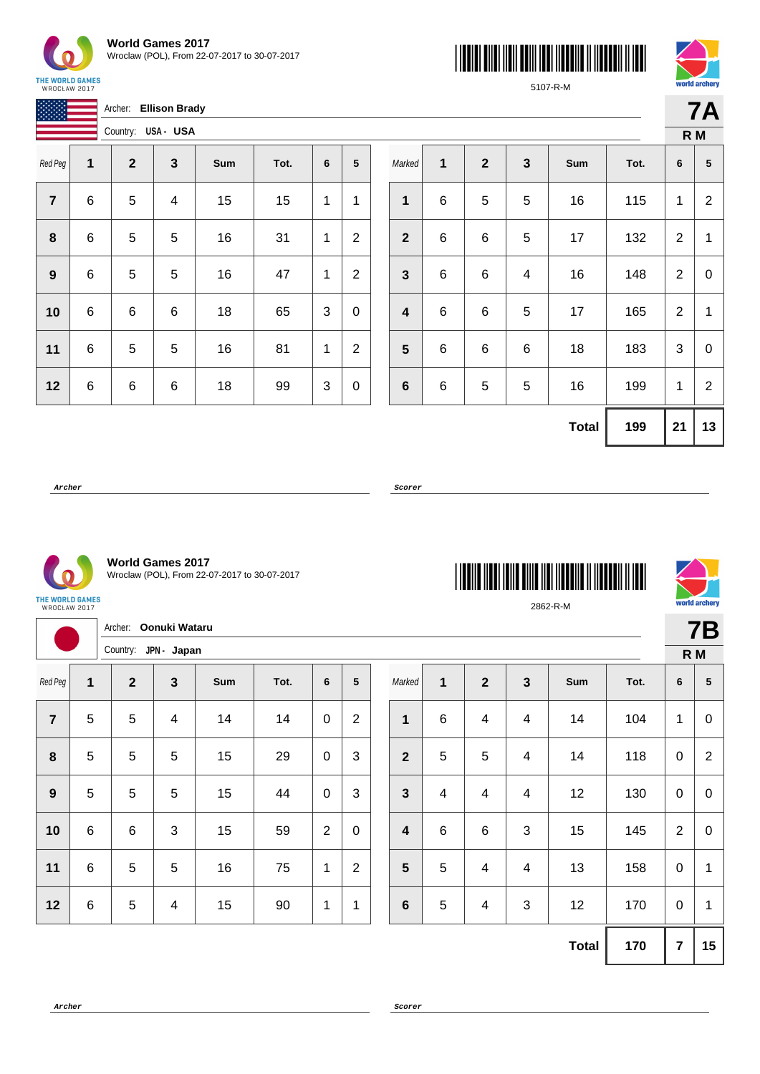

**World Games 2017** Wroclaw (POL), From 22-07-2017 to 30-07-2017





5107-R-M

**7A**

|                |   | Archer:            | <b>Ellison Brady</b> |     |      |   |                |
|----------------|---|--------------------|----------------------|-----|------|---|----------------|
|                |   | Country: USA - USA |                      |     |      |   |                |
| Red Peg        | 1 | $\boldsymbol{2}$   | 3                    | Sum | Tot. | 6 | 5              |
| $\overline{7}$ | 6 | 5                  | 4                    | 15  | 15   | 1 | 1              |
| 8              | 6 | 5                  | 5                    | 16  | 31   | 1 | $\overline{2}$ |
| 9              | 6 | 5                  | 5                    | 16  | 47   | 1 | $\overline{2}$ |
| 10             | 6 | 6                  | 6                    | 18  | 65   | 3 | 0              |
| 11             | 6 | 5                  | 5                    | 16  | 81   | 1 | $\overline{2}$ |
| 12             | 6 | 6                  | 6                    | 18  | 99   | 3 | 0              |

|              |             |             |              |              |      |                | R M            |  |  |
|--------------|-------------|-------------|--------------|--------------|------|----------------|----------------|--|--|
| Marked       | 1           | $\mathbf 2$ | $\mathbf{3}$ | Sum          | Tot. | 6              | 5              |  |  |
| 1            | $\,$ 6 $\,$ | $\mathbf 5$ | 5            | 16           | 115  | 1              | $\overline{c}$ |  |  |
| $\mathbf{2}$ | 6           | 6           | 5            | 17           | 132  | $\overline{2}$ | $\mathbf{1}$   |  |  |
| $\mathbf{3}$ | $\,6$       | 6           | 4            | 16           | 148  | 2              | 0              |  |  |
| 4            | $\,6$       | 6           | 5            | 17           | 165  | 2              | 1              |  |  |
| 5            | 6           | 6           | 6            | 18           | 183  | 3              | 0              |  |  |
| 6            | $\,$ 6 $\,$ | $\mathbf 5$ | 5            | 16<br>199    |      | 1              | $\overline{2}$ |  |  |
|              |             |             |              | <b>Total</b> | 199  | 21             | 13             |  |  |

\*2862-R-M\*

2862-R-M

**Archer Scorer**



**World Games 2017** Wroclaw (POL), From 22-07-2017 to 30-07-2017

THE WORLD GAMES WROCŁAW 2017

Archer: **Oonuki Wataru** Country: **JPN - Japan** Red Peg **1 2 3 Sum Tot. 6 5** | 5 | 5 | 4 | 14 | 14 | 0 | 2 | 5 | 5 | 5 | 15 | 29 | 0 | 3 | 5 | 5 | 5 | 15 | 44 | 0 | 3 | 6 | 6 | 3 | 15 | 59 | 2 | 0 | 6 | 5 | 5 | 16 | 75 | 1 | 2 | 6 | 5 | 4 | 15 | 90 | 1 | 1 Marked **1 2 3 Sum Tot. 6 5** | 6 | 4 | 4 | 14 | 104 | 1 | 0 | 5 | 5 | 4 | 14 | 118 | 0 | 2 | 4 | 4 | 4 | 12 | 130 | 0 | 0 | 6 | 6 | 3 | 15 | 145 | 2 | 0  $\begin{array}{|c|c|c|c|c|c|} \hline \textbf{5} & \textbf{5} & \textbf{4} & \textbf{4} & \textbf{13} & \textbf{158} & \textbf{0} & \textbf{1} \ \hline \end{array}$  | 5 | 4 | 3 | 12 | 170 | 0 | 1 **Total 170 7 15**

**Archer Scorer**



**7B**

**R M**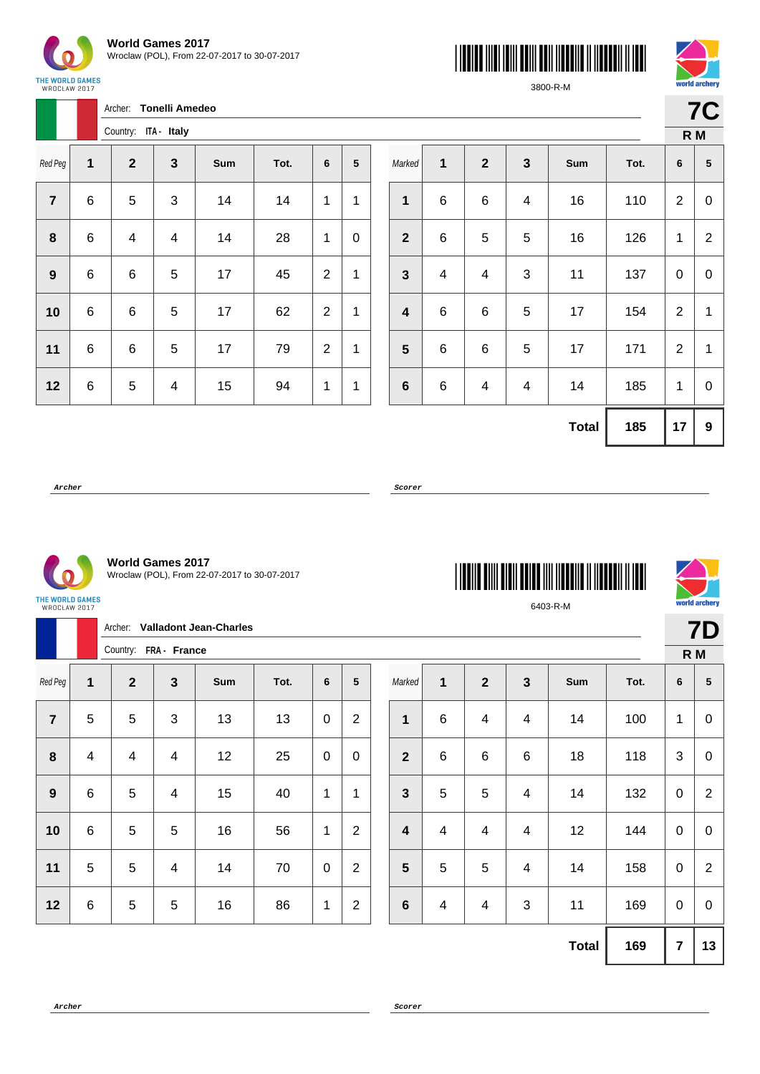

| <b>World Games 2017</b>                      |
|----------------------------------------------|
| Wroclaw (POL), From 22-07-2017 to 30-07-2017 |





3800-R-M

| WROCŁAW 2017     | <b>ME WURLD GAMES</b> |                      |                       |     |      |                |                |                         |   |                |  |
|------------------|-----------------------|----------------------|-----------------------|-----|------|----------------|----------------|-------------------------|---|----------------|--|
|                  |                       | Archer:              | <b>Tonelli Amedeo</b> |     |      |                |                |                         |   |                |  |
|                  |                       | Country: ITA - Italy |                       |     |      |                |                |                         |   |                |  |
| Red Peg          | $\mathbf{1}$          | $\overline{2}$       | $\mathbf{3}$          | Sum | Tot. | $6\phantom{1}$ | 5              | Marked                  | 1 | $\overline{2}$ |  |
| $\overline{7}$   | 6                     | 5                    | 3                     | 14  | 14   | 1              | 1              | $\mathbf{1}$            | 6 | 6              |  |
| $\pmb{8}$        | 6                     | 4                    | 4                     | 14  | 28   | 1              | $\overline{0}$ | $\overline{2}$          | 6 | 5              |  |
| $\boldsymbol{9}$ | 6                     | 6                    | 5                     | 17  | 45   | $\overline{2}$ | 1              | $\mathbf{3}$            | 4 | 4              |  |
| 10               | 6                     | 6                    | 5                     | 17  | 62   | $\overline{2}$ | 1              | $\overline{\mathbf{4}}$ | 6 | 6              |  |
| 11               | 6                     | 6                    | 5                     | 17  | 79   | $\overline{2}$ | $\mathbf{1}$   | 5                       | 6 | 6              |  |
| 12               | 6                     | 5                    | 4                     | 15  | 94   | 1              | $\mathbf{1}$   | $6\phantom{1}$          | 6 | 4              |  |
|                  |                       |                      |                       |     |      |                |                |                         |   |                |  |

|                         |   |                         |                           |              |      |                | R M            |  |  |
|-------------------------|---|-------------------------|---------------------------|--------------|------|----------------|----------------|--|--|
| Marked                  | 1 | $\mathbf{2}$            | $\mathbf{3}$              | Sum          | Tot. | 6              | ${\bf 5}$      |  |  |
| $\overline{\mathbf{1}}$ | 6 | 6                       | 4                         | 16           | 110  | $\overline{2}$ | 0              |  |  |
| $\overline{\mathbf{2}}$ | 6 | 5                       | $\mathbf 5$               | 16           | 126  | 1              | $\overline{2}$ |  |  |
| $\mathbf{3}$            | 4 | $\overline{\mathbf{4}}$ | $\ensuremath{\mathsf{3}}$ | 11           | 137  | 0              | 0              |  |  |
| $\overline{\mathbf{4}}$ | 6 | 6                       | $\mathbf 5$               | 17           | 154  | $\overline{2}$ | 1              |  |  |
| $5\phantom{1}$          | 6 | 6                       | $\mathbf 5$               | 17           | 171  | $\mathbf{2}$   | 1              |  |  |
| $\bf 6$                 | 6 | $\overline{\mathbf{4}}$ | 4                         | 14           | 185  | 1              | 0              |  |  |
|                         |   |                         |                           | <b>Total</b> | 185  | 17             | 9              |  |  |

**Archer Scorer**





| <b>World Games 2017</b>                      |
|----------------------------------------------|
| Wroclaw (POL), From 22-07-2017 to 30-07-2017 |

Archer: **Valladont Jean-Charles**

|                  |   | Country:                | FRA - France              |     |      |   |                  |
|------------------|---|-------------------------|---------------------------|-----|------|---|------------------|
| Red Peg          | 1 | $\overline{2}$          | 3                         | Sum | Tot. | 6 | ${\bf 5}$        |
| $\overline{7}$   | 5 | 5                       | $\ensuremath{\mathsf{3}}$ | 13  | 13   | 0 | $\boldsymbol{2}$ |
| 8                | 4 | $\overline{\mathbf{4}}$ | 4                         | 12  | 25   | 0 | 0                |
| $\boldsymbol{9}$ | 6 | 5                       | 4                         | 15  | 40   | 1 | 1                |
| 10               | 6 | 5                       | 5                         | 16  | 56   | 1 | $\overline{2}$   |
| 11               | 5 | 5                       | 4                         | 14  | 70   | 0 | $\overline{2}$   |
| 12               | 6 | 5                       | 5                         | 16  | 86   | 1 | $\mathbf{2}$     |





**7D**

|                         |                         |                         |              |     |      | ′ ⊿ |                |
|-------------------------|-------------------------|-------------------------|--------------|-----|------|-----|----------------|
|                         |                         |                         |              |     |      |     | R M            |
| Marked                  | $\mathbf{1}$            | $\boldsymbol{2}$        | $\mathbf{3}$ | Sum | Tot. | 6   | ${\bf 5}$      |
| $\mathbf 1$             | 6                       | $\overline{\mathbf{4}}$ | 4            | 14  | 100  | 1   | 0              |
| $\boldsymbol{2}$        | $\,6$                   | 6                       | $\,6$        | 18  | 118  | 3   | 0              |
| $\mathbf{3}$            | 5                       | 5                       | 4            | 14  | 132  | 0   | $\overline{2}$ |
| $\overline{\mathbf{4}}$ | $\overline{\mathbf{4}}$ | $\overline{\mathbf{4}}$ | 4            | 12  | 144  | 0   | 0              |
| $\sqrt{5}$              | $\mathbf 5$             | $\mathbf 5$             | 4            | 14  | 158  | 0   | $\overline{2}$ |
| $\bf 6$                 | 4                       | 4                       | $\sqrt{3}$   | 11  | 169  | 0   | 0              |
|                         |                         |                         |              |     |      |     |                |

 $Total \ 169 \ 17 \ 13$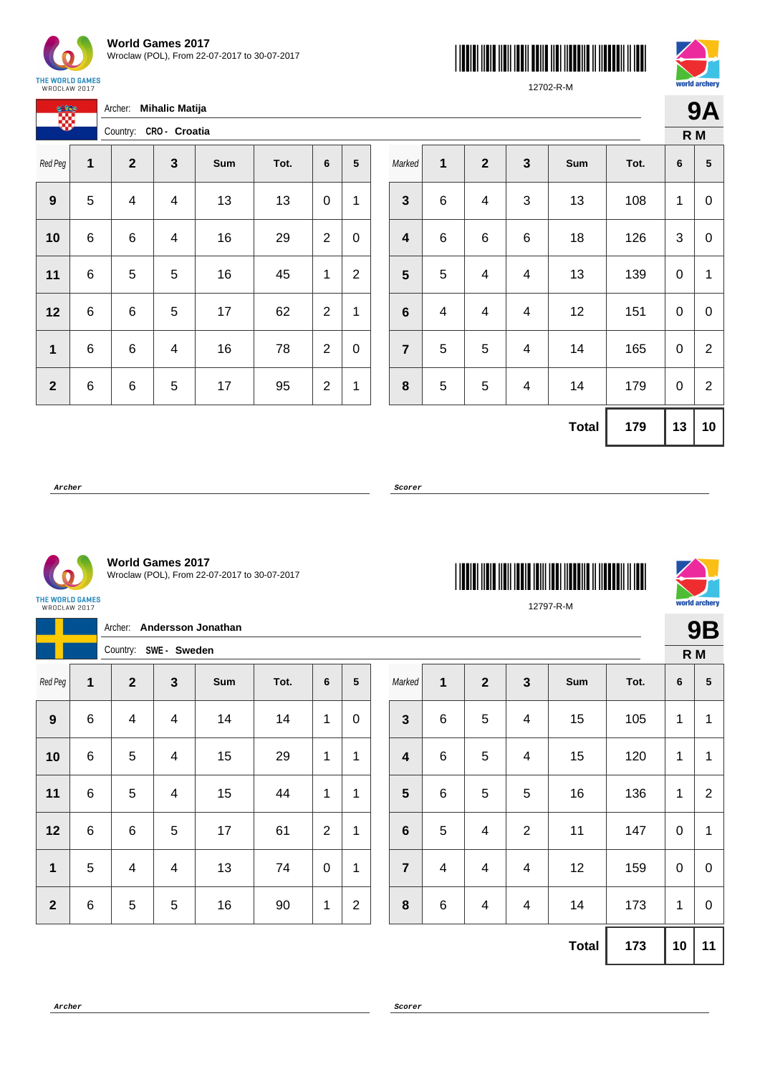

 $C<sup>2</sup>$ 

| <b>World Games 2017</b>                      |  |
|----------------------------------------------|--|
| Wroclaw (POL), From 22-07-2017 to 30-07-2017 |  |

Archer: **Mihalic Matija**





12702-R-M

**9A**

|              |   | Country: CRO- Croatia |              |     |      |                |                 |
|--------------|---|-----------------------|--------------|-----|------|----------------|-----------------|
| Red Peg      | 1 | $\mathbf{2}$          | $\mathbf{3}$ | Sum | Tot. | 6              | $5\phantom{.0}$ |
| 9            | 5 | 4                     | 4            | 13  | 13   | 0              | 1               |
| 10           | 6 | 6                     | 4            | 16  | 29   | 2              | 0               |
| 11           | 6 | 5                     | 5            | 16  | 45   | 1              | $\overline{2}$  |
| 12           | 6 | 6                     | 5            | 17  | 62   | $\overline{2}$ | 1               |
| $\mathbf 1$  | 6 | 6                     | 4            | 16  | 78   | $\overline{2}$ | 0               |
| $\mathbf{2}$ | 6 | 6                     | 5            | 17  | 95   | $\overline{2}$ | 1               |

|                         |                         |              |                         |              |      |    | R M              |
|-------------------------|-------------------------|--------------|-------------------------|--------------|------|----|------------------|
| Marked                  | 1                       | $\mathbf{2}$ | $\mathbf{3}$            | Sum          | Tot. | 6  | 5                |
| $\mathbf{3}$            | $\,$ 6 $\,$             | 4            | 3                       | 13           | 108  | 1  | 0                |
| $\overline{\mathbf{4}}$ | 6                       | 6            | $\,6$                   | 18           | 126  | 3  | 0                |
| 5                       | 5                       | 4            | 4                       | 13           | 139  | 0  | 1                |
| $6\phantom{1}6$         | $\overline{\mathbf{4}}$ | 4            | $\overline{\mathbf{4}}$ | 12           | 151  | 0  | $\boldsymbol{0}$ |
| $\overline{7}$          | 5                       | 5            | 4                       | 14           | 165  | 0  | $\overline{2}$   |
| 8                       | 5                       | 5            | 4                       | 14           | 179  | 0  | $\overline{2}$   |
|                         |                         |              |                         | <b>Total</b> | 179  | 13 | 10               |

**Archer Scorer**

 $\mathcal{C}$ 

**World Games 2017** Wroclaw (POL), From 22-07-2017 to 30-07-2017

| <b>THE WORLD GAMES</b><br>WROCŁAW 2017 |  |
|----------------------------------------|--|

|                  | Archer: Andersson Jonathan |                       |                         |     |      |                 |                 |  |                |                         |                         |                          |              |      | <b>9B</b>   |                 |
|------------------|----------------------------|-----------------------|-------------------------|-----|------|-----------------|-----------------|--|----------------|-------------------------|-------------------------|--------------------------|--------------|------|-------------|-----------------|
|                  |                            | Country: SWE - Sweden |                         |     |      |                 |                 |  |                |                         |                         |                          |              |      | R M         |                 |
| Red Peg          | 1                          | $\mathbf{2}$          | $\mathbf{3}$            | Sum | Tot. | $6\phantom{1}6$ | $5\phantom{.0}$ |  | Marked         | 1                       | $\overline{2}$          | $\mathbf{3}$             | Sum          | Tot. | 6           | $5\phantom{.0}$ |
| $\boldsymbol{9}$ | $\,6\,$                    | 4                     | $\overline{\mathbf{4}}$ | 14  | 14   | 1               | $\mathbf 0$     |  | $\mathbf{3}$   | $\,6$                   | 5                       | $\overline{\mathcal{A}}$ | 15           | 105  | 1           | $\mathbf 1$     |
| 10               | $\,6$                      | 5                     | $\overline{4}$          | 15  | 29   | 1               | 1               |  | 4              | $\,6$                   | 5                       | $\overline{4}$           | 15           | 120  | 1           | $\mathbf{1}$    |
| 11               | $\,6$                      | 5                     | $\overline{4}$          | 15  | 44   | 1               | 1               |  | $5\phantom{1}$ | $\,6$                   | 5                       | $\overline{5}$           | 16           | 136  | 1           | $\overline{2}$  |
| 12               | $\,6$                      | $\,6$                 | $\overline{5}$          | 17  | 61   | $\overline{2}$  | 1               |  | $\bf 6$        | 5                       | $\overline{\mathbf{4}}$ | $\overline{2}$           | 11           | 147  | $\mathbf 0$ | $\overline{1}$  |
| $\mathbf{1}$     | 5                          | 4                     | $\overline{4}$          | 13  | 74   | $\pmb{0}$       | 1               |  | $\overline{7}$ | $\overline{\mathbf{4}}$ | 4                       | $\overline{4}$           | 12           | 159  | $\mathbf 0$ | $\mathbf 0$     |
| $\overline{2}$   | $\,6$                      | 5                     | $\sqrt{5}$              | 16  | 90   | 1               | $\overline{2}$  |  | 8              | $\,6$                   | 4                       | $\overline{4}$           | 14           | 173  | 1           | $\mathbf 0$     |
|                  |                            |                       |                         |     |      |                 |                 |  |                |                         |                         |                          | <b>Total</b> | 173  | 10          | 11              |

**Archer Scorer**



12797-R-M

\*12797-R-M\*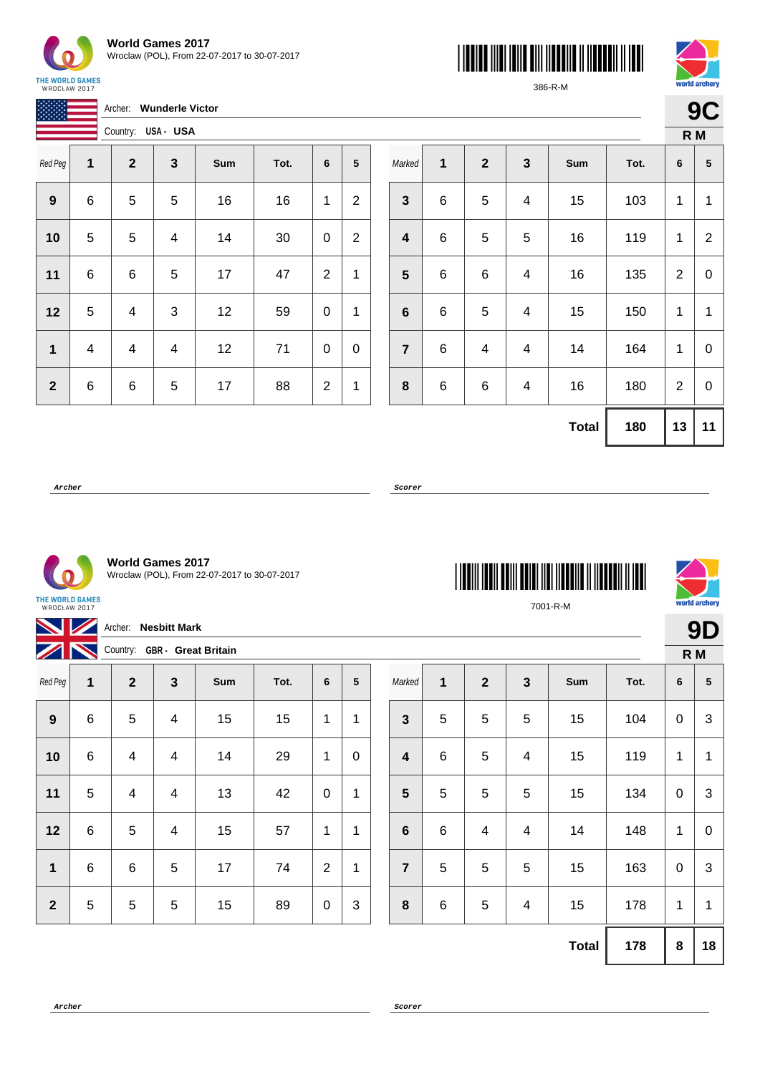

按按键

| <b>World Games 2017</b>                      |
|----------------------------------------------|
| Wroclaw (POL), From 22-07-2017 to 30-07-2017 |

Archer: **Wunderle Victor**





386-R-M

**9C**

| <b>ANANY AN</b> |   | Country: USA - USA |              |     |      |                |                |
|-----------------|---|--------------------|--------------|-----|------|----------------|----------------|
| Red Peg         | 1 | $\mathbf{2}$       | $\mathbf{3}$ | Sum | Tot. | 6              | 5              |
| 9               | 6 | 5                  | 5            | 16  | 16   | 1              | $\overline{2}$ |
| 10              | 5 | 5                  | 4            | 14  | 30   | 0              | $\overline{2}$ |
| 11              | 6 | 6                  | 5            | 17  | 47   | $\overline{2}$ | 1              |
| 12              | 5 | 4                  | 3            | 12  | 59   | 0              | 1              |
| $\mathbf 1$     | 4 | 4                  | 4            | 12  | 71   | 0              | 0              |
| $\mathbf{2}$    | 6 | 6                  | 5            | 17  | 88   | $\overline{2}$ | 1              |

|                         |       |              |                         |              |      |                | R M            |
|-------------------------|-------|--------------|-------------------------|--------------|------|----------------|----------------|
| Marked                  | 1     | $\mathbf{2}$ | $\mathbf{3}$            | Sum          | Tot. | 6              | 5              |
| $\mathbf{3}$            | $\,6$ | 5            | 4                       | 15           | 103  | 1              | 1              |
| $\overline{\mathbf{4}}$ | 6     | 5            | 5                       | 16           | 119  | 1              | $\overline{2}$ |
| $\overline{\mathbf{5}}$ | $\,6$ | 6            | 4                       | 16           | 135  | $\overline{2}$ | 0              |
| $6\phantom{1}6$         | $\,6$ | 5            | 4                       | 15           | 150  | 1              | 1              |
| $\overline{7}$          | $\,6$ | 4            | $\overline{\mathbf{4}}$ | 14           | 164  | 1              | 0              |
| 8                       | 6     | 6            | 4                       | 16           | 180  | $\overline{2}$ | $\mathbf 0$    |
|                         |       |              |                         | <b>Total</b> | 180  | 13             | 11             |

\*7001-R-M\*

7001-R-M

**Archer Scorer**



**World Games 2017** Wroclaw (POL), From 22-07-2017 to 30-07-2017

THE WORLD GAMES<br>WROCŁAW 2017

| Archer: Nesbitt Mark     |                                   |              |                |     |      |                |   |  |                 |         |                |                 |              | <b>9D</b> |             |              |
|--------------------------|-----------------------------------|--------------|----------------|-----|------|----------------|---|--|-----------------|---------|----------------|-----------------|--------------|-----------|-------------|--------------|
| $\overline{\mathscr{L}}$ | N<br>Country: GBR - Great Britain |              |                |     |      |                |   |  |                 |         |                |                 |              |           | R M         |              |
| Red Peg                  | 1                                 | $\mathbf{2}$ | 3              | Sum | Tot. | 6              | 5 |  | Marked          | 1       | $\overline{2}$ | 3               | Sum          | Tot.      | 6           | 5            |
| 9                        | 6                                 | 5            | $\overline{4}$ | 15  | 15   | 1              | 1 |  | $\mathbf{3}$    | 5       | 5              | $5\phantom{.0}$ | 15           | 104       | $\mathbf 0$ | $\mathbf{3}$ |
| 10                       | 6                                 | 4            | $\overline{4}$ | 14  | 29   | 1              | 0 |  | 4               | $\,6$   | 5              | 4               | 15           | 119       | 1           | 1            |
| 11                       | 5                                 | 4            | 4              | 13  | 42   | $\pmb{0}$      | 1 |  | 5               | 5       | 5              | 5               | 15           | 134       | $\mathbf 0$ | 3            |
| 12                       | 6                                 | 5            | $\overline{4}$ | 15  | 57   | 1              | 1 |  | $6\phantom{1}6$ | $\,6\,$ | 4              | 4               | 14           | 148       | 1           | $\mathbf 0$  |
| $\mathbf 1$              | 6                                 | $\,6\,$      | 5              | 17  | 74   | $\overline{2}$ | 1 |  | $\overline{7}$  | 5       | 5              | 5               | 15           | 163       | $\mathbf 0$ | 3            |
| $\overline{2}$           | 5                                 | 5            | 5              | 15  | 89   | $\pmb{0}$      | 3 |  | 8               | $\,6$   | 5              | 4               | 15           | 178       | 1           | 1            |
|                          |                                   |              |                |     |      |                |   |  |                 |         |                |                 | <b>Total</b> | 178       | 8           | 18           |

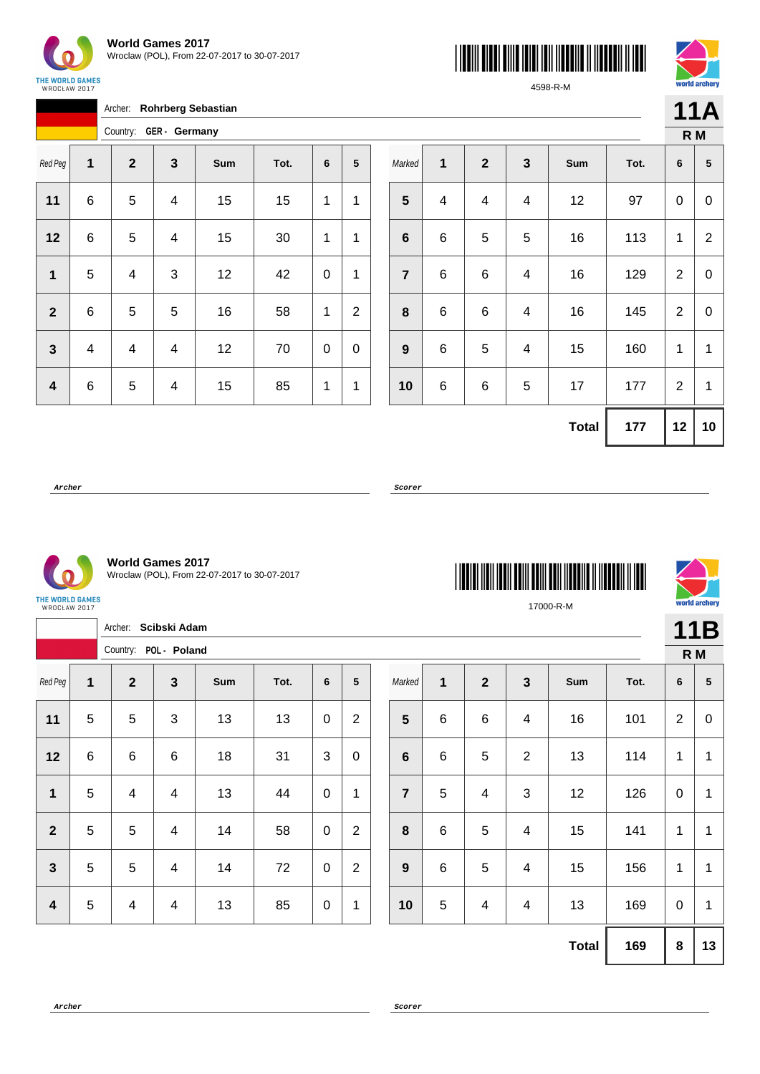





4598-R-M

**11A**

**orld archery** 

|              |   | Archer:      |               | <b>Rohrberg Sebastian</b> |      |   |                 |
|--------------|---|--------------|---------------|---------------------------|------|---|-----------------|
|              |   | Country:     | GER - Germany |                           |      |   |                 |
| Red Peg      | 1 | $\mathbf{2}$ | 3             | Sum                       | Tot. | 6 | $5\phantom{.0}$ |
| 11           | 6 | 5            | 4             | 15                        | 15   | 1 | 1               |
| 12           | 6 | 5            | 4             | 15                        | 30   | 1 | 1               |
| 1            | 5 | 4            | 3             | 12                        | 42   | 0 | 1               |
| $\mathbf{2}$ | 6 | 5            | 5             | 16                        | 58   | 1 | $\overline{2}$  |
| 3            | 4 | 4            | 4             | 12                        | 70   | 0 | 0               |
| 4            | 6 | 5            | 4             | 15                        | 85   | 1 | 1               |

|                  |   |                  |                         |              |      | R M            |                 |
|------------------|---|------------------|-------------------------|--------------|------|----------------|-----------------|
| Marked           | 1 | $\boldsymbol{2}$ | $\mathbf{3}$            | Sum          | Tot. | 6              | ${\bf 5}$       |
| $5\phantom{1}$   | 4 | 4                | $\overline{\mathbf{4}}$ | 12           | 97   | 0              | 0               |
| 6                | 6 | 5                | 5                       | 16           | 113  | 1              | $\overline{2}$  |
| $\overline{7}$   | 6 | 6                | $\overline{\mathbf{4}}$ | 16           | 129  | $\overline{2}$ | $\mathbf 0$     |
| 8                | 6 | 6                | 4                       | 16           | 145  | $\overline{2}$ | 0               |
| $\boldsymbol{9}$ | 6 | 5                | $\overline{\mathbf{4}}$ | 15           | 160  | 1              | 1               |
| 10               | 6 | 6                | 5                       | 17           | 177  | $\overline{2}$ | $\mathbf{1}$    |
|                  |   |                  |                         | <b>Total</b> | 177  | 12             | 10 <sub>1</sub> |

\*17000-R-M\*

17000-R-M

**Archer Scorer**



**World Games 2017** Wroclaw (POL), From 22-07-2017 to 30-07-2017

| THE WORLD GAMES |  |
|-----------------|--|
| WROCŁAW 2017    |  |

|                     |                | Scibski Adam<br>Archer: |                       |     |      |              |                |  |                 |              |                         |                          |     |      |                | 11B             |
|---------------------|----------------|-------------------------|-----------------------|-----|------|--------------|----------------|--|-----------------|--------------|-------------------------|--------------------------|-----|------|----------------|-----------------|
|                     |                |                         | Country: POL - Poland |     |      |              |                |  |                 |              |                         |                          |     |      |                | R M             |
| Red Peg             | 1              | $\mathbf{2}$            | $\mathbf{3}$          | Sum | Tot. | 6            | 5              |  | Marked          | $\mathbf{1}$ | $\overline{2}$          | $\mathbf{3}$             | Sum | Tot. | 6              | $5\phantom{.0}$ |
| 11                  | $\overline{5}$ | 5                       | 3                     | 13  | 13   | $\mathsf 0$  | $\overline{2}$ |  | $5\phantom{1}$  | $\,6\,$      | $\,6\,$                 | $\overline{\mathcal{A}}$ | 16  | 101  | $\overline{2}$ | $\mathbf 0$     |
| $12$                | $\,6\,$        | $\,6\,$                 | $\,6\,$               | 18  | 31   | $\mathbf{3}$ | $\mathbf 0$    |  | $6\phantom{1}6$ | $\,6\,$      | $\sqrt{5}$              | $\overline{2}$           | 13  | 114  | 1              | 1               |
| $\mathbf{1}$        | $\overline{5}$ | 4                       | 4                     | 13  | 44   | $\mathsf 0$  | $\mathbf 1$    |  | $\overline{7}$  | 5            | $\overline{\mathbf{4}}$ | 3                        | 12  | 126  | $\mathbf 0$    | 1               |
| $\overline{2}$      | 5              | 5                       | 4                     | 14  | 58   | $\pmb{0}$    | $\overline{2}$ |  | 8               | $\,6\,$      | $\sqrt{5}$              | 4                        | 15  | 141  | 1              | 1               |
| $\overline{3}$      | 5              | $\overline{5}$          | 4                     | 14  | 72   | $\pmb{0}$    | $\overline{2}$ |  | 9               | 6            | 5                       | 4                        | 15  | 156  | 1              | 1               |
| $\boldsymbol{4}$    | $\overline{5}$ | 4                       | 4                     | 13  | 85   | $\mathsf 0$  | $\mathbf{1}$   |  | 10              | 5            | $\overline{\mathbf{4}}$ | $\overline{\mathcal{A}}$ | 13  | 169  | $\mathbf 0$    | 1               |
| <b>Total</b><br>169 |                |                         |                       |     |      |              |                |  |                 |              |                         | $\bf 8$                  | 13  |      |                |                 |